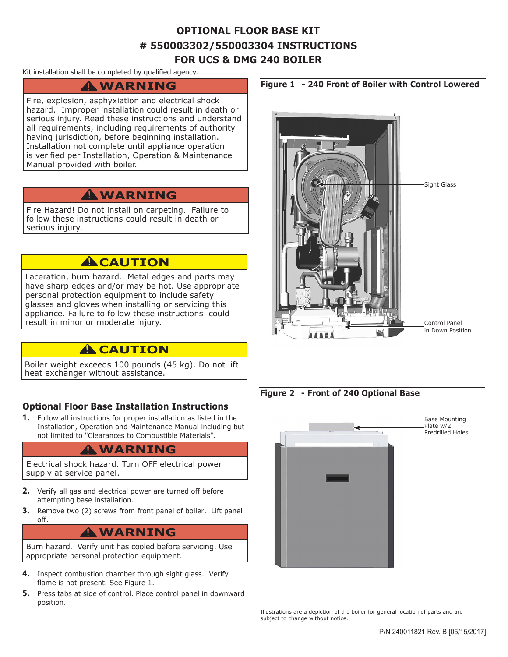## **OPTIONAL FLOOR BASE KIT # 550003302/550003304 INSTRUCTIONS FOR UCS & DMG 240 BOILER**

#### Kit installation shall be completed by qualified agency.

# **WARNING !**

Fire, explosion, asphyxiation and electrical shock hazard. Improper installation could result in death or serious injury. Read these instructions and understand all requirements, including requirements of authority having jurisdiction, before beginning installation. Installation not complete until appliance operation is verified per Installation, Operation & Maintenance Manual provided with boiler.

### **WARNING !**

Fire Hazard! Do not install on carpeting. Failure to follow these instructions could result in death or serious injury.

### **A**CAUTION

Laceration, burn hazard. Metal edges and parts may have sharp edges and/or may be hot. Use appropriate personal protection equipment to include safety glasses and gloves when installing or servicing this appliance. Failure to follow these instructions could result in minor or moderate injury.

### **A** CAUTION

Boiler weight exceeds 100 pounds (45 kg). Do not lift heat exchanger without assistance.

### **Optional Floor Base Installation Instructions**

**1.** Follow all instructions for proper installation as listed in the Installation, Operation and Maintenance Manual including but not limited to "Clearances to Combustible Materials".

# **WARNING !**

Electrical shock hazard. Turn OFF electrical power supply at service panel.

- **2.** Verify all gas and electrical power are turned off before attempting base installation.
- **3.** Remove two (2) screws from front panel of boiler. Lift panel off.

# **WARNING !**

Burn hazard. Verify unit has cooled before servicing. Use appropriate personal protection equipment.

- **4.** Inspect combustion chamber through sight glass. Verify flame is not present. See Figure 1.
- **5.** Press tabs at side of control. Place control panel in downward position.



#### **Figure 2 - Front of 240 Optional Base**



Illustrations are a depiction of the boiler for general location of parts and are subject to change without notice.

#### **Figure 1 - 240 Front of Boiler with Control Lowered**